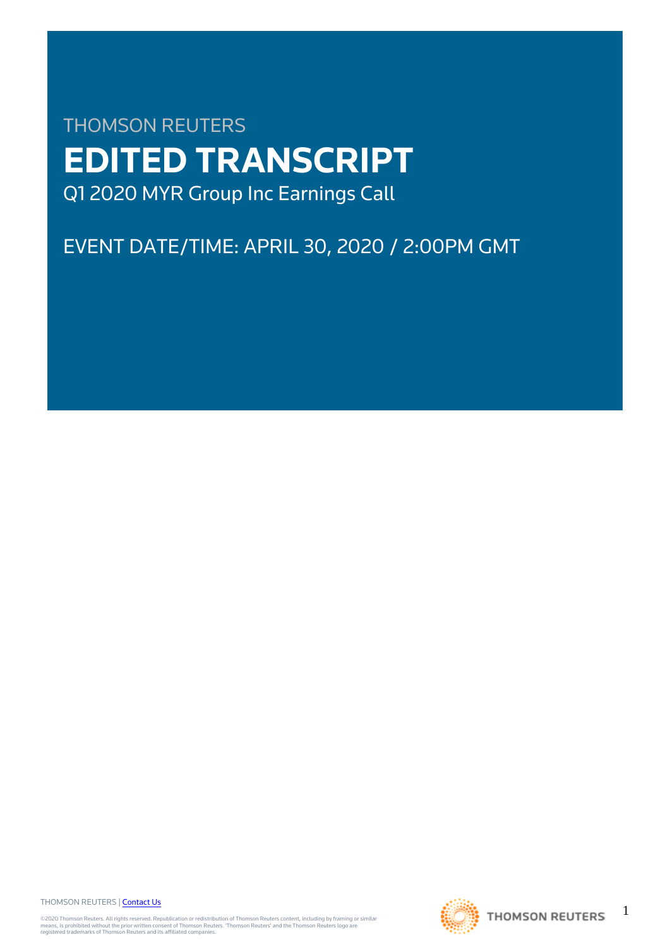# THOMSON REUTERS **EDITED TRANSCRIPT** Q1 2020 MYR Group Inc Earnings Call

## EVENT DATE/TIME: APRIL 30, 2020 / 2:00PM GMT

THOMSON REUTERS | [Contact Us](https://my.thomsonreuters.com/ContactUsNew)

©2020 Thomson Reuters. All rights reserved. Republication or redistribution of Thomson Reuters content, including by framing or similar<br>means, is prohibited without the prior written consent of Thomson Reuters. 'Thomson Re



1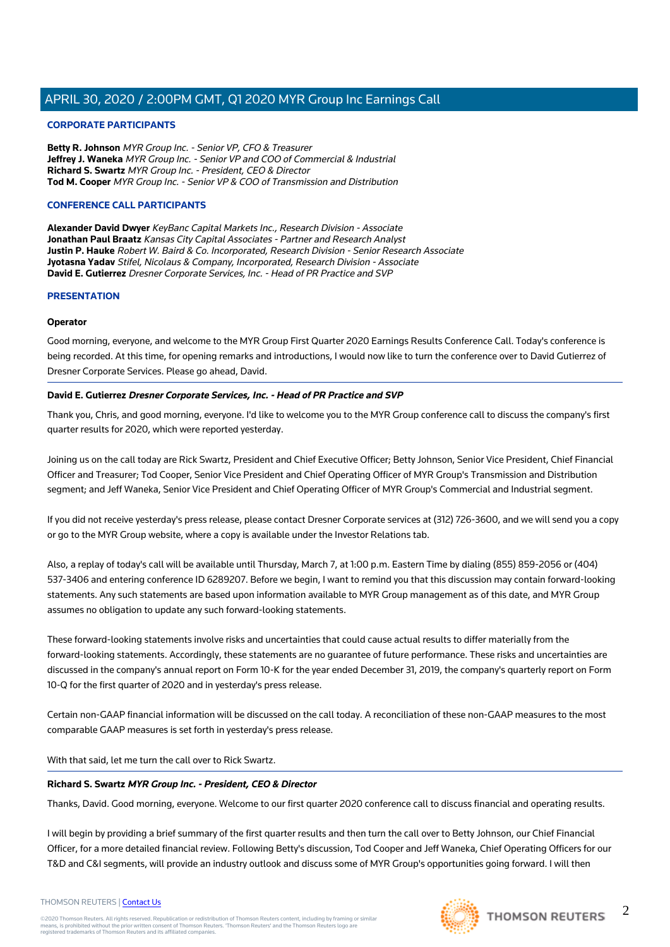#### **CORPORATE PARTICIPANTS**

**Betty R. Johnson** MYR Group Inc. - Senior VP, CFO & Treasurer **Jeffrey J. Waneka** MYR Group Inc. - Senior VP and COO of Commercial & Industrial **Richard S. Swartz** MYR Group Inc. - President, CEO & Director **Tod M. Cooper** MYR Group Inc. - Senior VP & COO of Transmission and Distribution

#### **CONFERENCE CALL PARTICIPANTS**

**Alexander David Dwyer** KeyBanc Capital Markets Inc., Research Division - Associate **Jonathan Paul Braatz** Kansas City Capital Associates - Partner and Research Analyst **Justin P. Hauke** Robert W. Baird & Co. Incorporated, Research Division - Senior Research Associate **Jyotasna Yadav** Stifel, Nicolaus & Company, Incorporated, Research Division - Associate **David E. Gutierrez** Dresner Corporate Services, Inc. - Head of PR Practice and SVP

#### **PRESENTATION**

#### **Operator**

Good morning, everyone, and welcome to the MYR Group First Quarter 2020 Earnings Results Conference Call. Today's conference is being recorded. At this time, for opening remarks and introductions, I would now like to turn the conference over to David Gutierrez of Dresner Corporate Services. Please go ahead, David.

#### **David E. Gutierrez Dresner Corporate Services, Inc. - Head of PR Practice and SVP**

Thank you, Chris, and good morning, everyone. I'd like to welcome you to the MYR Group conference call to discuss the company's first quarter results for 2020, which were reported yesterday.

Joining us on the call today are Rick Swartz, President and Chief Executive Officer; Betty Johnson, Senior Vice President, Chief Financial Officer and Treasurer; Tod Cooper, Senior Vice President and Chief Operating Officer of MYR Group's Transmission and Distribution segment; and Jeff Waneka, Senior Vice President and Chief Operating Officer of MYR Group's Commercial and Industrial segment.

If you did not receive yesterday's press release, please contact Dresner Corporate services at (312) 726-3600, and we will send you a copy or go to the MYR Group website, where a copy is available under the Investor Relations tab.

Also, a replay of today's call will be available until Thursday, March 7, at 1:00 p.m. Eastern Time by dialing (855) 859-2056 or (404) 537-3406 and entering conference ID 6289207. Before we begin, I want to remind you that this discussion may contain forward-looking statements. Any such statements are based upon information available to MYR Group management as of this date, and MYR Group assumes no obligation to update any such forward-looking statements.

These forward-looking statements involve risks and uncertainties that could cause actual results to differ materially from the forward-looking statements. Accordingly, these statements are no guarantee of future performance. These risks and uncertainties are discussed in the company's annual report on Form 10-K for the year ended December 31, 2019, the company's quarterly report on Form 10-Q for the first quarter of 2020 and in yesterday's press release.

Certain non-GAAP financial information will be discussed on the call today. A reconciliation of these non-GAAP measures to the most comparable GAAP measures is set forth in yesterday's press release.

With that said, let me turn the call over to Rick Swartz.

#### **Richard S. Swartz MYR Group Inc. - President, CEO & Director**

Thanks, David. Good morning, everyone. Welcome to our first quarter 2020 conference call to discuss financial and operating results.

I will begin by providing a brief summary of the first quarter results and then turn the call over to Betty Johnson, our Chief Financial Officer, for a more detailed financial review. Following Betty's discussion, Tod Cooper and Jeff Waneka, Chief Operating Officers for our T&D and C&I segments, will provide an industry outlook and discuss some of MYR Group's opportunities going forward. I will then

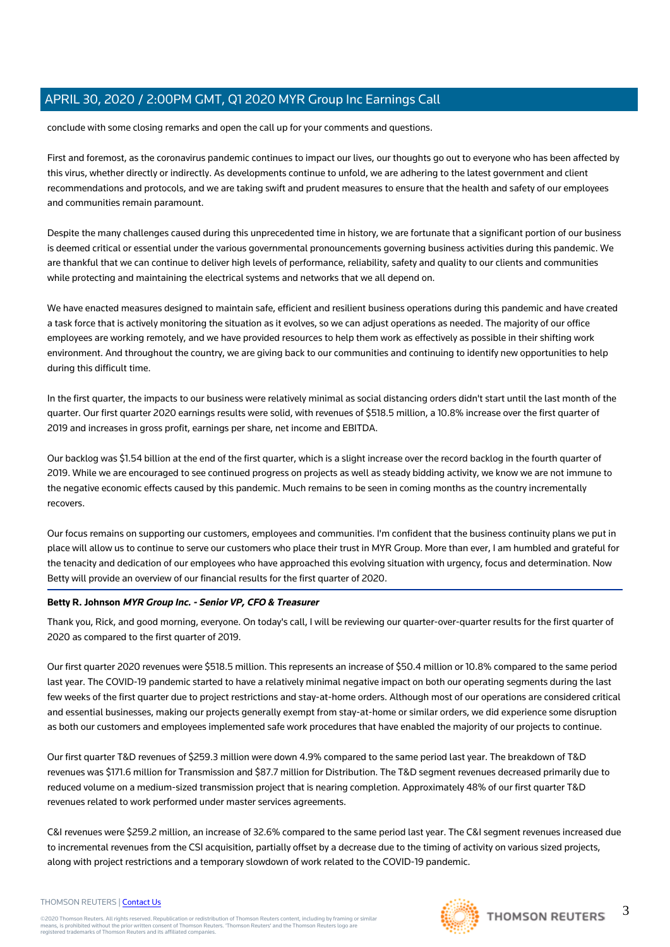conclude with some closing remarks and open the call up for your comments and questions.

First and foremost, as the coronavirus pandemic continues to impact our lives, our thoughts go out to everyone who has been affected by this virus, whether directly or indirectly. As developments continue to unfold, we are adhering to the latest government and client recommendations and protocols, and we are taking swift and prudent measures to ensure that the health and safety of our employees and communities remain paramount.

Despite the many challenges caused during this unprecedented time in history, we are fortunate that a significant portion of our business is deemed critical or essential under the various governmental pronouncements governing business activities during this pandemic. We are thankful that we can continue to deliver high levels of performance, reliability, safety and quality to our clients and communities while protecting and maintaining the electrical systems and networks that we all depend on.

We have enacted measures designed to maintain safe, efficient and resilient business operations during this pandemic and have created a task force that is actively monitoring the situation as it evolves, so we can adjust operations as needed. The majority of our office employees are working remotely, and we have provided resources to help them work as effectively as possible in their shifting work environment. And throughout the country, we are giving back to our communities and continuing to identify new opportunities to help during this difficult time.

In the first quarter, the impacts to our business were relatively minimal as social distancing orders didn't start until the last month of the quarter. Our first quarter 2020 earnings results were solid, with revenues of \$518.5 million, a 10.8% increase over the first quarter of 2019 and increases in gross profit, earnings per share, net income and EBITDA.

Our backlog was \$1.54 billion at the end of the first quarter, which is a slight increase over the record backlog in the fourth quarter of 2019. While we are encouraged to see continued progress on projects as well as steady bidding activity, we know we are not immune to the negative economic effects caused by this pandemic. Much remains to be seen in coming months as the country incrementally recovers.

Our focus remains on supporting our customers, employees and communities. I'm confident that the business continuity plans we put in place will allow us to continue to serve our customers who place their trust in MYR Group. More than ever, I am humbled and grateful for the tenacity and dedication of our employees who have approached this evolving situation with urgency, focus and determination. Now Betty will provide an overview of our financial results for the first quarter of 2020.

#### **Betty R. Johnson MYR Group Inc. - Senior VP, CFO & Treasurer**

Thank you, Rick, and good morning, everyone. On today's call, I will be reviewing our quarter-over-quarter results for the first quarter of 2020 as compared to the first quarter of 2019.

Our first quarter 2020 revenues were \$518.5 million. This represents an increase of \$50.4 million or 10.8% compared to the same period last year. The COVID-19 pandemic started to have a relatively minimal negative impact on both our operating segments during the last few weeks of the first quarter due to project restrictions and stay-at-home orders. Although most of our operations are considered critical and essential businesses, making our projects generally exempt from stay-at-home or similar orders, we did experience some disruption as both our customers and employees implemented safe work procedures that have enabled the majority of our projects to continue.

Our first quarter T&D revenues of \$259.3 million were down 4.9% compared to the same period last year. The breakdown of T&D revenues was \$171.6 million for Transmission and \$87.7 million for Distribution. The T&D segment revenues decreased primarily due to reduced volume on a medium-sized transmission project that is nearing completion. Approximately 48% of our first quarter T&D revenues related to work performed under master services agreements.

C&I revenues were \$259.2 million, an increase of 32.6% compared to the same period last year. The C&I segment revenues increased due to incremental revenues from the CSI acquisition, partially offset by a decrease due to the timing of activity on various sized projects, along with project restrictions and a temporary slowdown of work related to the COVID-19 pandemic.



#### THOMSON REUTERS | [Contact Us](https://my.thomsonreuters.com/ContactUsNew)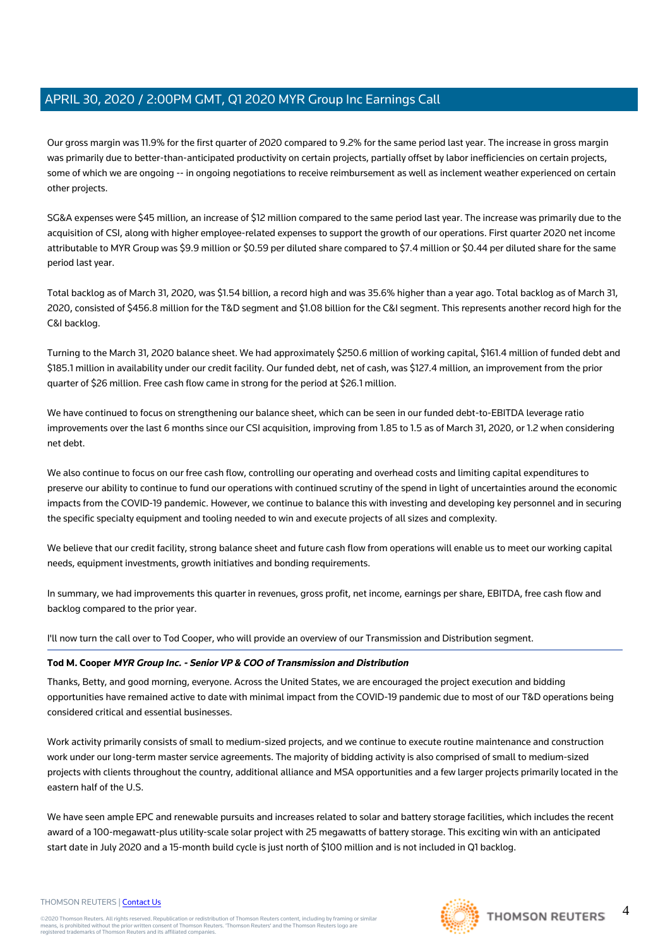Our gross margin was 11.9% for the first quarter of 2020 compared to 9.2% for the same period last year. The increase in gross margin was primarily due to better-than-anticipated productivity on certain projects, partially offset by labor inefficiencies on certain projects, some of which we are ongoing -- in ongoing negotiations to receive reimbursement as well as inclement weather experienced on certain other projects.

SG&A expenses were \$45 million, an increase of \$12 million compared to the same period last year. The increase was primarily due to the acquisition of CSI, along with higher employee-related expenses to support the growth of our operations. First quarter 2020 net income attributable to MYR Group was \$9.9 million or \$0.59 per diluted share compared to \$7.4 million or \$0.44 per diluted share for the same period last year.

Total backlog as of March 31, 2020, was \$1.54 billion, a record high and was 35.6% higher than a year ago. Total backlog as of March 31, 2020, consisted of \$456.8 million for the T&D segment and \$1.08 billion for the C&I segment. This represents another record high for the C&I backlog.

Turning to the March 31, 2020 balance sheet. We had approximately \$250.6 million of working capital, \$161.4 million of funded debt and \$185.1 million in availability under our credit facility. Our funded debt, net of cash, was \$127.4 million, an improvement from the prior quarter of \$26 million. Free cash flow came in strong for the period at \$26.1 million.

We have continued to focus on strengthening our balance sheet, which can be seen in our funded debt-to-EBITDA leverage ratio improvements over the last 6 months since our CSI acquisition, improving from 1.85 to 1.5 as of March 31, 2020, or 1.2 when considering net debt.

We also continue to focus on our free cash flow, controlling our operating and overhead costs and limiting capital expenditures to preserve our ability to continue to fund our operations with continued scrutiny of the spend in light of uncertainties around the economic impacts from the COVID-19 pandemic. However, we continue to balance this with investing and developing key personnel and in securing the specific specialty equipment and tooling needed to win and execute projects of all sizes and complexity.

We believe that our credit facility, strong balance sheet and future cash flow from operations will enable us to meet our working capital needs, equipment investments, growth initiatives and bonding requirements.

In summary, we had improvements this quarter in revenues, gross profit, net income, earnings per share, EBITDA, free cash flow and backlog compared to the prior year.

I'll now turn the call over to Tod Cooper, who will provide an overview of our Transmission and Distribution segment.

#### **Tod M. Cooper MYR Group Inc. - Senior VP & COO of Transmission and Distribution**

Thanks, Betty, and good morning, everyone. Across the United States, we are encouraged the project execution and bidding opportunities have remained active to date with minimal impact from the COVID-19 pandemic due to most of our T&D operations being considered critical and essential businesses.

Work activity primarily consists of small to medium-sized projects, and we continue to execute routine maintenance and construction work under our long-term master service agreements. The majority of bidding activity is also comprised of small to medium-sized projects with clients throughout the country, additional alliance and MSA opportunities and a few larger projects primarily located in the eastern half of the U.S.

We have seen ample EPC and renewable pursuits and increases related to solar and battery storage facilities, which includes the recent award of a 100-megawatt-plus utility-scale solar project with 25 megawatts of battery storage. This exciting win with an anticipated start date in July 2020 and a 15-month build cycle is just north of \$100 million and is not included in Q1 backlog.

#### THOMSON REUTERS | [Contact Us](https://my.thomsonreuters.com/ContactUsNew)

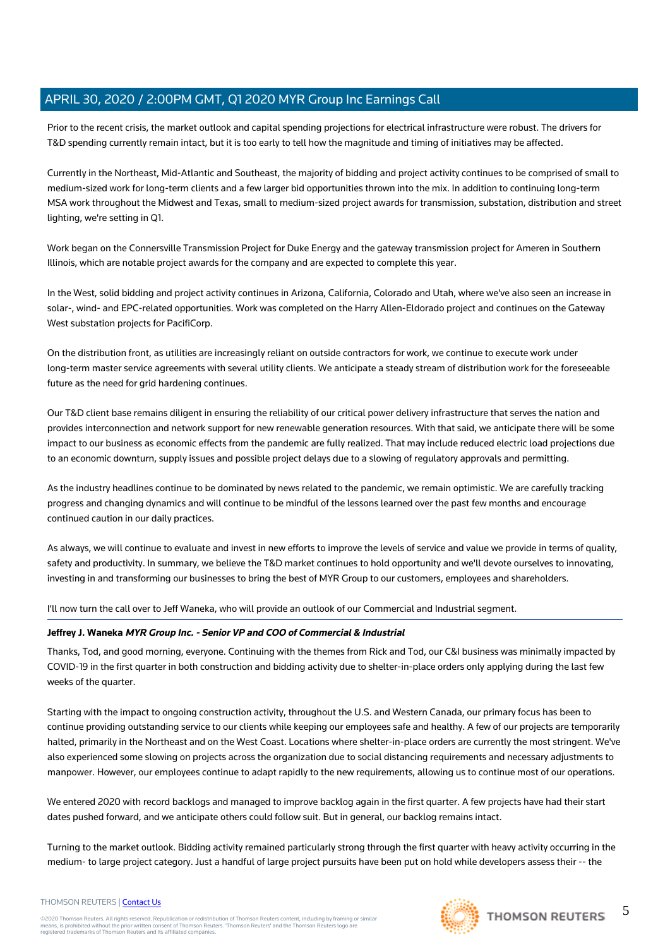Prior to the recent crisis, the market outlook and capital spending projections for electrical infrastructure were robust. The drivers for T&D spending currently remain intact, but it is too early to tell how the magnitude and timing of initiatives may be affected.

Currently in the Northeast, Mid-Atlantic and Southeast, the majority of bidding and project activity continues to be comprised of small to medium-sized work for long-term clients and a few larger bid opportunities thrown into the mix. In addition to continuing long-term MSA work throughout the Midwest and Texas, small to medium-sized project awards for transmission, substation, distribution and street lighting, we're setting in Q1.

Work began on the Connersville Transmission Project for Duke Energy and the gateway transmission project for Ameren in Southern Illinois, which are notable project awards for the company and are expected to complete this year.

In the West, solid bidding and project activity continues in Arizona, California, Colorado and Utah, where we've also seen an increase in solar-, wind- and EPC-related opportunities. Work was completed on the Harry Allen-Eldorado project and continues on the Gateway West substation projects for PacifiCorp.

On the distribution front, as utilities are increasingly reliant on outside contractors for work, we continue to execute work under long-term master service agreements with several utility clients. We anticipate a steady stream of distribution work for the foreseeable future as the need for grid hardening continues.

Our T&D client base remains diligent in ensuring the reliability of our critical power delivery infrastructure that serves the nation and provides interconnection and network support for new renewable generation resources. With that said, we anticipate there will be some impact to our business as economic effects from the pandemic are fully realized. That may include reduced electric load projections due to an economic downturn, supply issues and possible project delays due to a slowing of regulatory approvals and permitting.

As the industry headlines continue to be dominated by news related to the pandemic, we remain optimistic. We are carefully tracking progress and changing dynamics and will continue to be mindful of the lessons learned over the past few months and encourage continued caution in our daily practices.

As always, we will continue to evaluate and invest in new efforts to improve the levels of service and value we provide in terms of quality, safety and productivity. In summary, we believe the T&D market continues to hold opportunity and we'll devote ourselves to innovating, investing in and transforming our businesses to bring the best of MYR Group to our customers, employees and shareholders.

I'll now turn the call over to Jeff Waneka, who will provide an outlook of our Commercial and Industrial segment.

#### **Jeffrey J. Waneka MYR Group Inc. - Senior VP and COO of Commercial & Industrial**

Thanks, Tod, and good morning, everyone. Continuing with the themes from Rick and Tod, our C&I business was minimally impacted by COVID-19 in the first quarter in both construction and bidding activity due to shelter-in-place orders only applying during the last few weeks of the quarter.

Starting with the impact to ongoing construction activity, throughout the U.S. and Western Canada, our primary focus has been to continue providing outstanding service to our clients while keeping our employees safe and healthy. A few of our projects are temporarily halted, primarily in the Northeast and on the West Coast. Locations where shelter-in-place orders are currently the most stringent. We've also experienced some slowing on projects across the organization due to social distancing requirements and necessary adjustments to manpower. However, our employees continue to adapt rapidly to the new requirements, allowing us to continue most of our operations.

We entered 2020 with record backlogs and managed to improve backlog again in the first quarter. A few projects have had their start dates pushed forward, and we anticipate others could follow suit. But in general, our backlog remains intact.

Turning to the market outlook. Bidding activity remained particularly strong through the first quarter with heavy activity occurring in the medium- to large project category. Just a handful of large project pursuits have been put on hold while developers assess their -- the

#### THOMSON REUTERS | [Contact Us](https://my.thomsonreuters.com/ContactUsNew)

©2020 Thomson Reuters. All rights reserved. Republication or redistribution of Thomson Reuters content, including by framing or similar<br>means, is prohibited without the prior written consent of Thomson Reuters. 'Thomson Re



5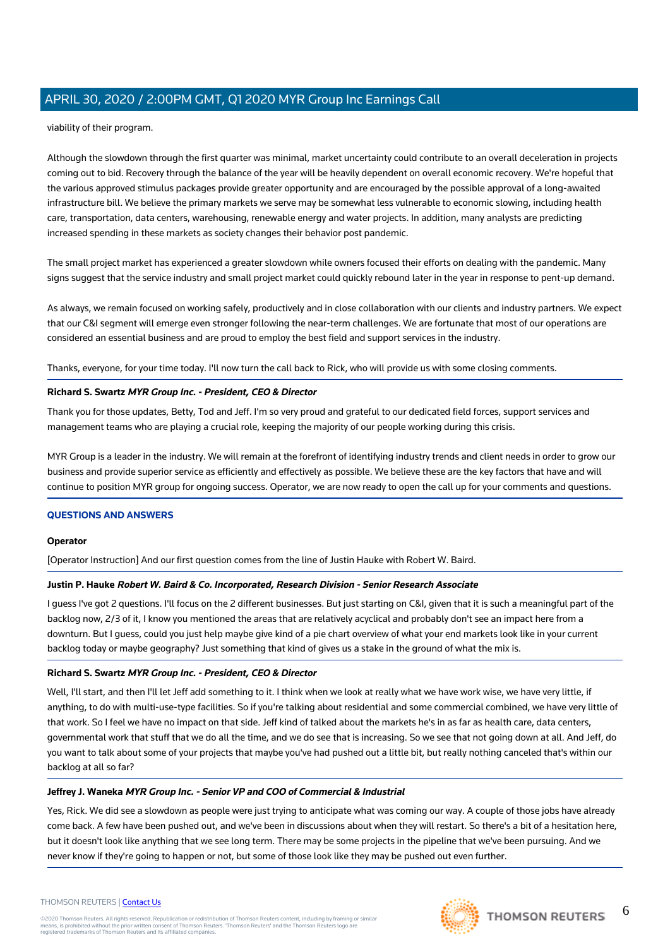viability of their program.

Although the slowdown through the first quarter was minimal, market uncertainty could contribute to an overall deceleration in projects coming out to bid. Recovery through the balance of the year will be heavily dependent on overall economic recovery. We're hopeful that the various approved stimulus packages provide greater opportunity and are encouraged by the possible approval of a long-awaited infrastructure bill. We believe the primary markets we serve may be somewhat less vulnerable to economic slowing, including health care, transportation, data centers, warehousing, renewable energy and water projects. In addition, many analysts are predicting increased spending in these markets as society changes their behavior post pandemic.

The small project market has experienced a greater slowdown while owners focused their efforts on dealing with the pandemic. Many signs suggest that the service industry and small project market could quickly rebound later in the year in response to pent-up demand.

As always, we remain focused on working safely, productively and in close collaboration with our clients and industry partners. We expect that our C&I segment will emerge even stronger following the near-term challenges. We are fortunate that most of our operations are considered an essential business and are proud to employ the best field and support services in the industry.

Thanks, everyone, for your time today. I'll now turn the call back to Rick, who will provide us with some closing comments.

#### **Richard S. Swartz MYR Group Inc. - President, CEO & Director**

Thank you for those updates, Betty, Tod and Jeff. I'm so very proud and grateful to our dedicated field forces, support services and management teams who are playing a crucial role, keeping the majority of our people working during this crisis.

MYR Group is a leader in the industry. We will remain at the forefront of identifying industry trends and client needs in order to grow our business and provide superior service as efficiently and effectively as possible. We believe these are the key factors that have and will continue to position MYR group for ongoing success. Operator, we are now ready to open the call up for your comments and questions.

#### **QUESTIONS AND ANSWERS**

#### **Operator**

[Operator Instruction] And our first question comes from the line of Justin Hauke with Robert W. Baird.

#### **Justin P. Hauke Robert W. Baird & Co. Incorporated, Research Division - Senior Research Associate**

I guess I've got 2 questions. I'll focus on the 2 different businesses. But just starting on C&I, given that it is such a meaningful part of the backlog now, 2/3 of it, I know you mentioned the areas that are relatively acyclical and probably don't see an impact here from a downturn. But I guess, could you just help maybe give kind of a pie chart overview of what your end markets look like in your current backlog today or maybe geography? Just something that kind of gives us a stake in the ground of what the mix is.

#### **Richard S. Swartz MYR Group Inc. - President, CEO & Director**

Well, I'll start, and then I'll let Jeff add something to it. I think when we look at really what we have work wise, we have very little, if anything, to do with multi-use-type facilities. So if you're talking about residential and some commercial combined, we have very little of that work. So I feel we have no impact on that side. Jeff kind of talked about the markets he's in as far as health care, data centers, governmental work that stuff that we do all the time, and we do see that is increasing. So we see that not going down at all. And Jeff, do you want to talk about some of your projects that maybe you've had pushed out a little bit, but really nothing canceled that's within our backlog at all so far?

#### **Jeffrey J. Waneka MYR Group Inc. - Senior VP and COO of Commercial & Industrial**

Yes, Rick. We did see a slowdown as people were just trying to anticipate what was coming our way. A couple of those jobs have already come back. A few have been pushed out, and we've been in discussions about when they will restart. So there's a bit of a hesitation here, but it doesn't look like anything that we see long term. There may be some projects in the pipeline that we've been pursuing. And we never know if they're going to happen or not, but some of those look like they may be pushed out even further.



## **THOMSON REUTERS**

#### THOMSON REUTERS | [Contact Us](https://my.thomsonreuters.com/ContactUsNew)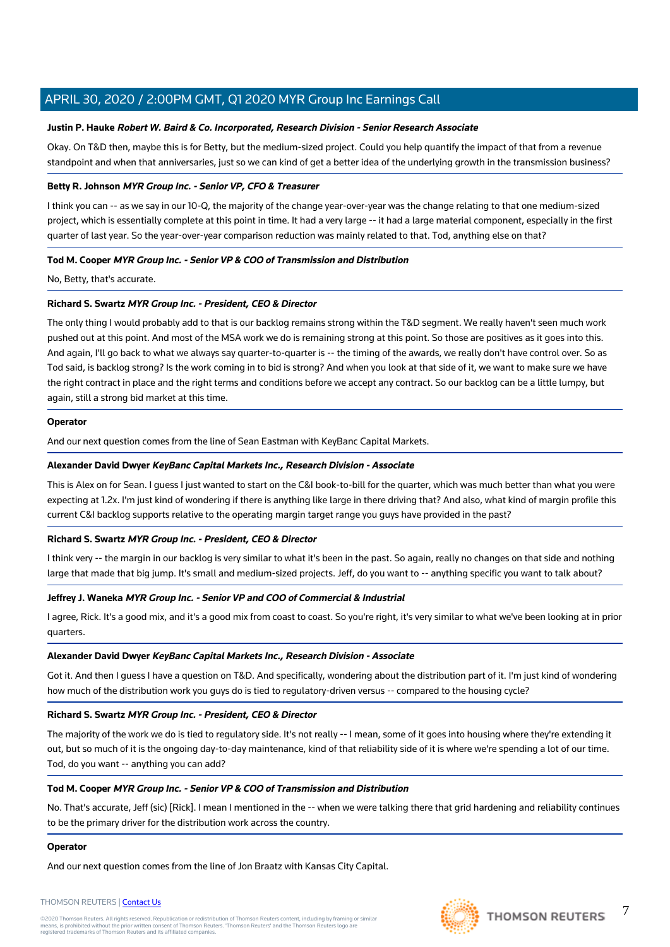#### **Justin P. Hauke Robert W. Baird & Co. Incorporated, Research Division - Senior Research Associate**

Okay. On T&D then, maybe this is for Betty, but the medium-sized project. Could you help quantify the impact of that from a revenue standpoint and when that anniversaries, just so we can kind of get a better idea of the underlying growth in the transmission business?

#### **Betty R. Johnson MYR Group Inc. - Senior VP, CFO & Treasurer**

I think you can -- as we say in our 10-Q, the majority of the change year-over-year was the change relating to that one medium-sized project, which is essentially complete at this point in time. It had a very large -- it had a large material component, especially in the first quarter of last year. So the year-over-year comparison reduction was mainly related to that. Tod, anything else on that?

#### **Tod M. Cooper MYR Group Inc. - Senior VP & COO of Transmission and Distribution**

No, Betty, that's accurate.

#### **Richard S. Swartz MYR Group Inc. - President, CEO & Director**

The only thing I would probably add to that is our backlog remains strong within the T&D segment. We really haven't seen much work pushed out at this point. And most of the MSA work we do is remaining strong at this point. So those are positives as it goes into this. And again, I'll go back to what we always say quarter-to-quarter is -- the timing of the awards, we really don't have control over. So as Tod said, is backlog strong? Is the work coming in to bid is strong? And when you look at that side of it, we want to make sure we have the right contract in place and the right terms and conditions before we accept any contract. So our backlog can be a little lumpy, but again, still a strong bid market at this time.

#### **Operator**

And our next question comes from the line of Sean Eastman with KeyBanc Capital Markets.

#### **Alexander David Dwyer KeyBanc Capital Markets Inc., Research Division - Associate**

This is Alex on for Sean. I guess I just wanted to start on the C&I book-to-bill for the quarter, which was much better than what you were expecting at 1.2x. I'm just kind of wondering if there is anything like large in there driving that? And also, what kind of margin profile this current C&I backlog supports relative to the operating margin target range you guys have provided in the past?

#### **Richard S. Swartz MYR Group Inc. - President, CEO & Director**

I think very -- the margin in our backlog is very similar to what it's been in the past. So again, really no changes on that side and nothing large that made that big jump. It's small and medium-sized projects. Jeff, do you want to -- anything specific you want to talk about?

#### **Jeffrey J. Waneka MYR Group Inc. - Senior VP and COO of Commercial & Industrial**

I agree, Rick. It's a good mix, and it's a good mix from coast to coast. So you're right, it's very similar to what we've been looking at in prior quarters.

#### **Alexander David Dwyer KeyBanc Capital Markets Inc., Research Division - Associate**

Got it. And then I guess I have a question on T&D. And specifically, wondering about the distribution part of it. I'm just kind of wondering how much of the distribution work you guys do is tied to regulatory-driven versus -- compared to the housing cycle?

#### **Richard S. Swartz MYR Group Inc. - President, CEO & Director**

The majority of the work we do is tied to regulatory side. It's not really -- I mean, some of it goes into housing where they're extending it out, but so much of it is the ongoing day-to-day maintenance, kind of that reliability side of it is where we're spending a lot of our time. Tod, do you want -- anything you can add?

#### **Tod M. Cooper MYR Group Inc. - Senior VP & COO of Transmission and Distribution**

No. That's accurate, Jeff (sic) [Rick]. I mean I mentioned in the -- when we were talking there that grid hardening and reliability continues to be the primary driver for the distribution work across the country.

#### **Operator**

And our next question comes from the line of Jon Braatz with Kansas City Capital.

#### THOMSON REUTERS | [Contact Us](https://my.thomsonreuters.com/ContactUsNew)

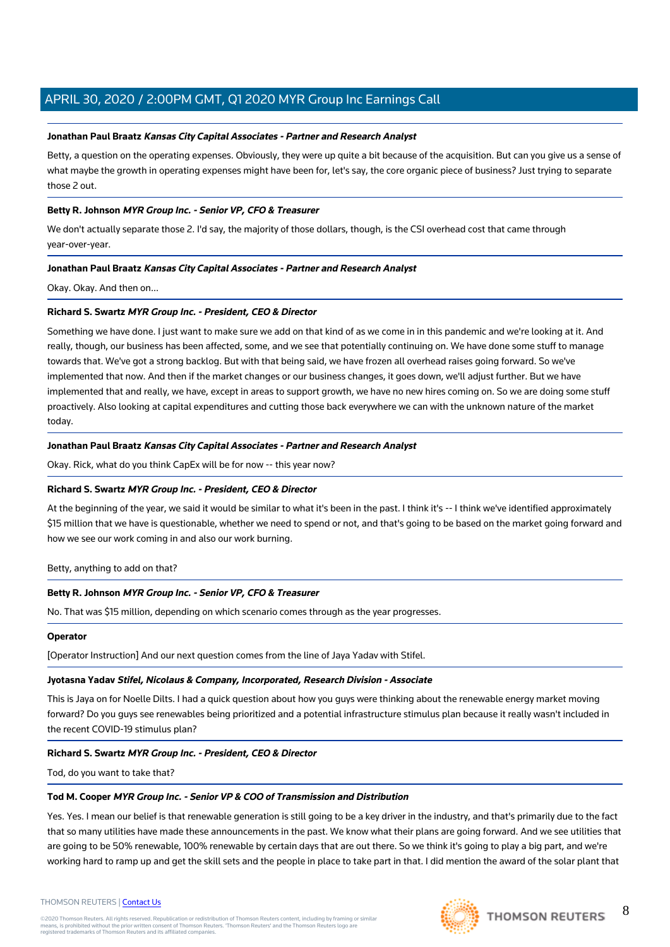#### **Jonathan Paul Braatz Kansas City Capital Associates - Partner and Research Analyst**

Betty, a question on the operating expenses. Obviously, they were up quite a bit because of the acquisition. But can you give us a sense of what maybe the growth in operating expenses might have been for, let's say, the core organic piece of business? Just trying to separate those 2 out.

#### **Betty R. Johnson MYR Group Inc. - Senior VP, CFO & Treasurer**

We don't actually separate those 2. I'd say, the majority of those dollars, though, is the CSI overhead cost that came through year-over-year.

#### **Jonathan Paul Braatz Kansas City Capital Associates - Partner and Research Analyst**

Okay. Okay. And then on...

#### **Richard S. Swartz MYR Group Inc. - President, CEO & Director**

Something we have done. I just want to make sure we add on that kind of as we come in in this pandemic and we're looking at it. And really, though, our business has been affected, some, and we see that potentially continuing on. We have done some stuff to manage towards that. We've got a strong backlog. But with that being said, we have frozen all overhead raises going forward. So we've implemented that now. And then if the market changes or our business changes, it goes down, we'll adjust further. But we have implemented that and really, we have, except in areas to support growth, we have no new hires coming on. So we are doing some stuff proactively. Also looking at capital expenditures and cutting those back everywhere we can with the unknown nature of the market today.

#### **Jonathan Paul Braatz Kansas City Capital Associates - Partner and Research Analyst**

Okay. Rick, what do you think CapEx will be for now -- this year now?

#### **Richard S. Swartz MYR Group Inc. - President, CEO & Director**

At the beginning of the year, we said it would be similar to what it's been in the past. I think it's -- I think we've identified approximately \$15 million that we have is questionable, whether we need to spend or not, and that's going to be based on the market going forward and how we see our work coming in and also our work burning.

#### Betty, anything to add on that?

#### **Betty R. Johnson MYR Group Inc. - Senior VP, CFO & Treasurer**

No. That was \$15 million, depending on which scenario comes through as the year progresses.

#### **Operator**

[Operator Instruction] And our next question comes from the line of Jaya Yadav with Stifel.

#### **Jyotasna Yadav Stifel, Nicolaus & Company, Incorporated, Research Division - Associate**

This is Jaya on for Noelle Dilts. I had a quick question about how you guys were thinking about the renewable energy market moving forward? Do you guys see renewables being prioritized and a potential infrastructure stimulus plan because it really wasn't included in the recent COVID-19 stimulus plan?

#### **Richard S. Swartz MYR Group Inc. - President, CEO & Director**

Tod, do you want to take that?

#### **Tod M. Cooper MYR Group Inc. - Senior VP & COO of Transmission and Distribution**

Yes. Yes. I mean our belief is that renewable generation is still going to be a key driver in the industry, and that's primarily due to the fact that so many utilities have made these announcements in the past. We know what their plans are going forward. And we see utilities that are going to be 50% renewable, 100% renewable by certain days that are out there. So we think it's going to play a big part, and we're working hard to ramp up and get the skill sets and the people in place to take part in that. I did mention the award of the solar plant that